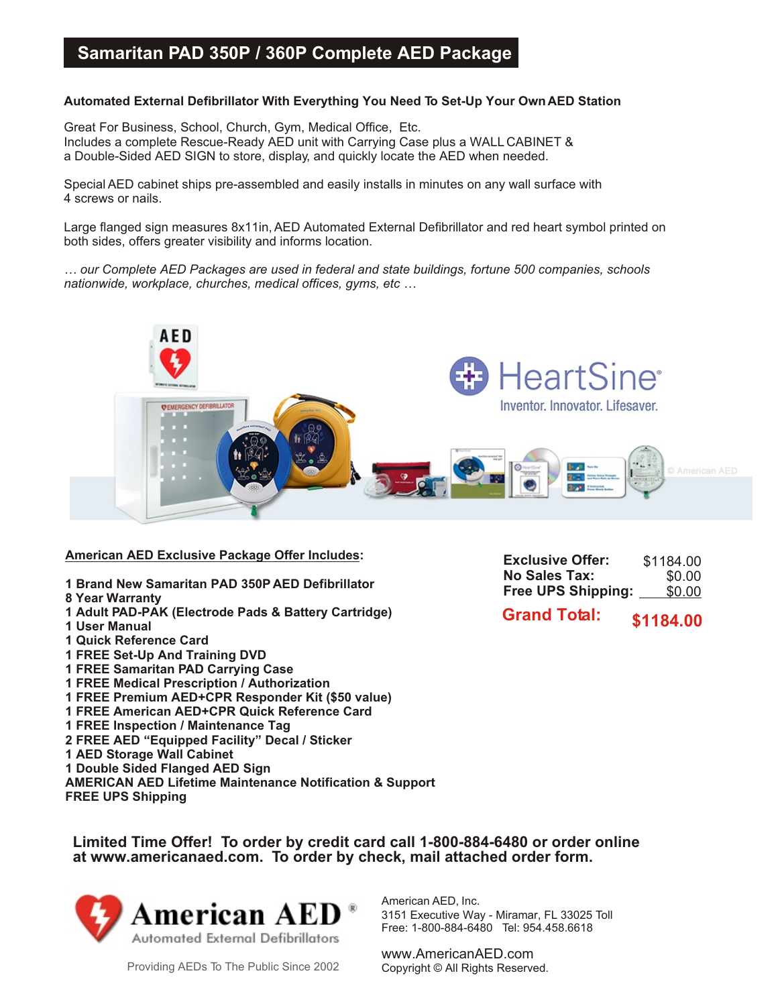## **Samaritan PAD 350P / 360P Complete AED Package**

## **Automated External Defibrillator With Everything You Need To Set-Up Your Own AED Station**

Great For Business, School, Church, Gym, Medical Office, Etc. Includes a complete Rescue-Ready AED unit with Carrying Case plus a WALL CABINET & a Double-Sided AED SIGN to store, display, and quickly locate the AED when needed.

Special AED cabinet ships pre-assembled and easily installs in minutes on any wall surface with 4 screws or nails.

Large flanged sign measures 8x11in, AED Automated External Defibrillator and red heart symbol printed on both sides, offers greater visibility and informs location.

*… our Complete AED Packages are used in federal and state buildings, fortune 500 companies, schools nationwide, workplace, churches, medical offices, gyms, etc …*



**American AED Exclusive Package Offer Includes:**

- **1 Brand New Samaritan PAD 350P AED Defibrillator**
- **8 Year Warranty**
- **1 Adult PAD-PAK (Electrode Pads & Battery Cartridge)**
- **1 User Manual**
- **1 Quick Reference Card**
- **1 FREE Set-Up And Training DVD**
- **1 FREE Samaritan PAD Carrying Case**
- **1 FREE Medical Prescription / Authorization**
- **1 FREE Premium AED+CPR Responder Kit (\$50 value)**
- **1 FREE American AED+CPR Quick Reference Card**
- **1 FREE Inspection / Maintenance Tag**
- **2 FREE AED "Equipped Facility" Decal / Sticker**
- **1 AED Storage Wall Cabinet**
- **1 Double Sided Flanged AED Sign**
- **AMERICAN AED Lifetime Maintenance Notification & Support**
- **FREE UPS Shipping**

**Exclusive Offer: No Sales Tax: Free UPS Shipping:** \$1184.00 \$0.00 \$0.00

**Grand Total: \$1184.00**

**Limited Time Offer! To order by credit card call 1-800-884-6480 or order online at www.americanaed.com. To order by check, mail attached order form.**



American AED, Inc. 3151 Executive Way - Miramar, FL 33025 Toll Free: 1-800-884-6480 Tel: 954.458.6618

www.AmericanAED.com<br>Copyright © All Rights Reserved.

Providing AEDs To The Public Since 2002